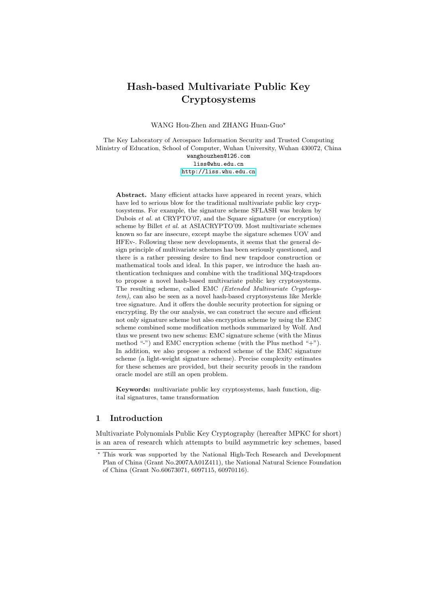# Hash-based Multivariate Public Key Cryptosystems

WANG Hou-Zhen and ZHANG Huan-Guo?

The Key Laboratory of Aerospace Information Security and Trusted Computing Ministry of Education, School of Computer, Wuhan University, Wuhan 430072, China wanghouzhen@126.com liss@whu.edu.cn <http://liss.whu.edu.cn>

Abstract. Many efficient attacks have appeared in recent years, which have led to serious blow for the traditional multivariate public key cryptosystems. For example, the signature scheme SFLASH was broken by Dubois et al. at CRYPTO'07, and the Square signature (or encryption) scheme by Billet et al. at ASIACRYPTO'09. Most multivariate schemes known so far are insecure, except maybe the sigature schemes UOV and HFEv-. Following these new developments, it seems that the general design principle of multivariate schemes has been seriously questioned, and there is a rather pressing desire to find new trapdoor construction or mathematical tools and ideal. In this paper, we introduce the hash authentication techniques and combine with the traditional MQ-trapdoors to propose a novel hash-based multivariate public key cryptosystems. The resulting scheme, called EMC (Extended Multivariate Cryptosystem), can also be seen as a novel hash-based cryptosystems like Merkle tree signature. And it offers the double security protection for signing or encrypting. By the our analysis, we can construct the secure and efficient not only signature scheme but also encryption scheme by using the EMC scheme combined some modification methods summarized by Wolf. And thus we present two new schems: EMC signature scheme (with the Minus method "-") and EMC encryption scheme (with the Plus method "+"). In addition, we also propose a reduced scheme of the EMC signature scheme (a light-weight signature scheme). Precise complexity estimates for these schemes are provided, but their security proofs in the random oracle model are still an open problem.

Keywords: multivariate public key cryptosystems, hash function, digital signatures, tame transformation

# 1 Introduction

Multivariate Polynomials Public Key Cryptography (hereafter MPKC for short) is an area of research which attempts to build asymmetric key schemes, based

<sup>?</sup> This work was supported by the National High-Tech Research and Development Plan of China (Grant No.2007AA01Z411), the National Natural Science Foundation of China (Grant No.60673071, 6097115, 60970116).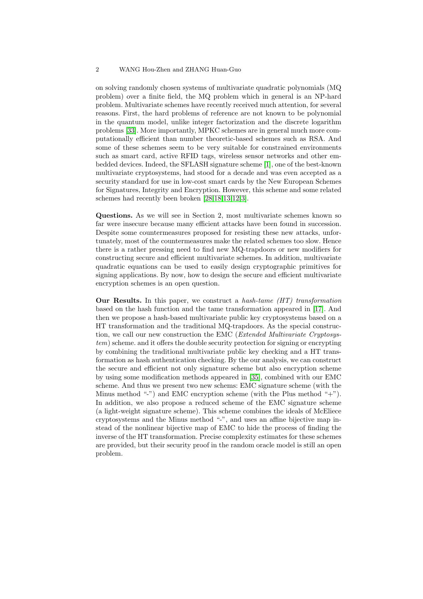on solving randomly chosen systems of multivariate quadratic polynomials (MQ problem) over a finite field, the MQ problem which in general is an NP-hard problem. Multivariate schemes have recently received much attention, for several reasons. First, the hard problems of reference are not known to be polynomial in the quantum model, unlike integer factorization and the discrete logarithm problems [\[33\]](#page-13-0). More importantly, MPKC schemes are in general much more computationally efficient than number theoretic-based schemes such as RSA. And some of these schemes seem to be very suitable for constrained environments such as smart card, active RFID tags, wireless sensor networks and other embedded devices. Indeed, the SFLASH signature scheme [\[1\]](#page-11-0), one of the best-known multivariate cryptosystems, had stood for a decade and was even accepted as a security standard for use in low-cost smart cards by the New European Schemes for Signatures, Integrity and Encryption. However, this scheme and some related schemes had recently been broken [\[28,](#page-12-0)[18](#page-12-1)[,13](#page-12-2)[,12,](#page-12-3)[3\]](#page-11-1).

Questions. As we will see in Section 2, most multivariate schemes known so far were insecure because many efficient attacks have been found in succession. Despite some countermeasures proposed for resisting these new attacks, unfortunately, most of the countermeasures make the related schemes too slow. Hence there is a rather pressing need to find new MQ-trapdoors or new modifiers for constructing secure and efficient multivariate schemes. In addition, multivariate quadratic equations can be used to easily design cryptographic primitives for signing applications. By now, how to design the secure and efficient multivariate encryption schemes is an open question.

**Our Results.** In this paper, we construct a hash-tame  $(HT)$  transformation based on the hash function and the tame transformation appeared in [\[17\]](#page-12-4). And then we propose a hash-based multivariate public key cryptosystems based on a HT transformation and the traditional MQ-trapdoors. As the special construction, we call our new construction the EMC (Extended Multivariate Cryptosystem) scheme. and it offers the double security protection for signing or encrypting by combining the traditional multivariate public key checking and a HT transformation as hash authentication checking. By the our analysis, we can construct the secure and efficient not only signature scheme but also encryption scheme by using some modification methods appeared in [\[35\]](#page-13-1), combined with our EMC scheme. And thus we present two new schems: EMC signature scheme (with the Minus method "-") and EMC encryption scheme (with the Plus method "+"). In addition, we also propose a reduced scheme of the EMC signature scheme (a light-weight signature scheme). This scheme combines the ideals of McEliece cryptosystems and the Minus method "-", and uses an affine bijective map instead of the nonlinear bijective map of EMC to hide the process of finding the inverse of the HT transformation. Precise complexity estimates for these schemes are provided, but their security proof in the random oracle model is still an open problem.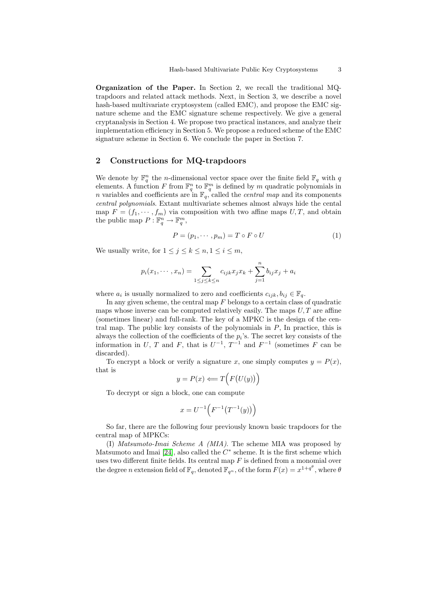Organization of the Paper. In Section 2, we recall the traditional MQtrapdoors and related attack methods. Next, in Section 3, we describe a novel hash-based multivariate cryptosystem (called EMC), and propose the EMC signature scheme and the EMC signature scheme respectively. We give a general cryptanalysis in Section 4. We propose two practical instances, and analyze their implementation efficiency in Section 5. We propose a reduced scheme of the EMC signature scheme in Section 6. We conclude the paper in Section 7.

# 2 Constructions for MQ-trapdoors

We denote by  $\mathbb{F}_q^n$  the *n*-dimensional vector space over the finite field  $\mathbb{F}_q$  with q elements. A function F from  $\mathbb{F}_q^n$  to  $\mathbb{F}_q^m$  is defined by m quadratic polynomials in n variables and coefficients are in  $\mathbb{F}_q$ , called the *central map* and its components central polynomials. Extant multivariate schemes almost always hide the cental map  $F = (f_1, \dots, f_m)$  via composition with two affine maps  $U, T$ , and obtain the public map  $P: \mathbb{F}_q^n \to \mathbb{F}_q^m$ ,

$$
P = (p_1, \cdots, p_m) = T \circ F \circ U \tag{1}
$$

We usually write, for  $1 \leq j \leq k \leq n, 1 \leq i \leq m$ ,

$$
p_i(x_1, \dots, x_n) = \sum_{1 \le j \le k \le n} c_{ijk} x_j x_k + \sum_{j=1}^n b_{ij} x_j + a_i
$$

where  $a_i$  is usually normalized to zero and coefficients  $c_{ijk}, b_{ij} \in \mathbb{F}_q$ .

In any given scheme, the central map  $F$  belongs to a certain class of quadratic maps whose inverse can be computed relatively easily. The maps  $U, T$  are affine (sometimes linear) and full-rank. The key of a MPKC is the design of the central map. The public key consists of the polynomials in  $P$ , In practice, this is always the collection of the coefficients of the  $p_i$ 's. The secret key consists of the information in U, T and F, that is  $U^{-1}$ ,  $T^{-1}$  and  $F^{-1}$  (sometimes F can be discarded).

To encrypt a block or verify a signature x, one simply computes  $y = P(x)$ , that is

$$
y = P(x) \Longleftarrow T\Big(F\big(U(y)\big)\Big)
$$

To decrypt or sign a block, one can compute

$$
x = U^{-1}\Bigl( F^{-1}\bigl( T^{-1}(y) \bigr) \Bigr)
$$

So far, there are the following four previously known basic trapdoors for the central map of MPKCs:

(I) Matsumoto-Imai Scheme A (MIA). The scheme MIA was proposed by Matsumoto and Imai [\[24\]](#page-12-5), also called the  $C^*$  scheme. It is the first scheme which uses two different finite fields. Its central map  $F$  is defined from a monomial over the degree n extension field of  $\mathbb{F}_q$ , denoted  $\mathbb{F}_{q^n}$ , of the form  $F(x) = x^{1+q^{\theta}}$ , where  $\theta$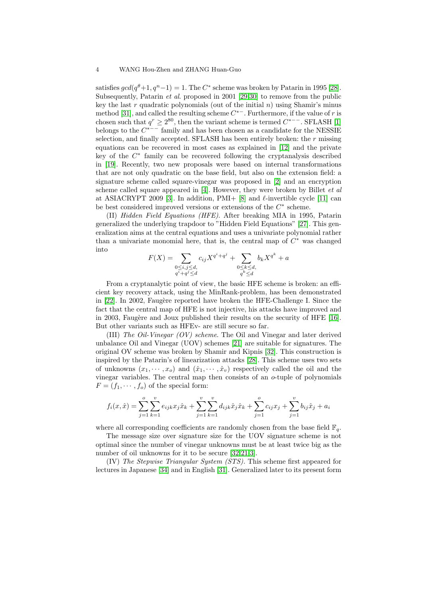satisfies  $gcd(q^{\theta}+1, q^n-1) = 1$ . The C<sup>\*</sup> scheme was broken by Patarin in 1995 [\[28\]](#page-12-0). Subsequently, Patarin et al. proposed in 2001 [\[29](#page-13-2)[,30\]](#page-13-3) to remove from the public key the last r quadratic polynomials (out of the initial  $n$ ) using Shamir's minus method [\[31\]](#page-13-4), and called the resulting scheme  $C^{*-}$ . Furthermore, if the value of r is chosen such that  $q^r \ge 2^{80}$ , then the variant scheme is termed  $C^{*--}$ . SFLASH [\[1\]](#page-11-0) belongs to the  $C^{*--}$  family and has been chosen as a candidate for the NESSIE selection, and finally accepted. SFLASH has been entirely broken: the r missing equations can be recovered in most cases as explained in [\[12\]](#page-12-3) and the private key of the  $C^*$  family can be recovered following the cryptanalysis described in [\[19\]](#page-12-6). Recently, two new proposals were based on internal transformations that are not only quadratic on the base field, but also on the extension field: a signature scheme called square-vinegar was proposed in [\[2\]](#page-11-2) and an encryption scheme called square appeared in [\[4\]](#page-11-3). However, they were broken by Billet et al at ASIACRYPT 2009 [\[3\]](#page-11-1). In addition, PMI+ [\[8\]](#page-11-4) and  $\ell$ -invertible cycle [\[11\]](#page-12-7) can be best considered improved versions or extensions of the  $C^*$  scheme.

(II) Hidden Field Equations (HFE). After breaking MIA in 1995, Patarin generalized the underlying trapdoor to "Hidden Field Equations" [\[27\]](#page-12-8). This generalization aims at the central equations and uses a univariate polynomial rather than a univariate monomial here, that is, the central map of  $C^*$  was changed into

$$
F(X) = \sum_{\substack{0 \le i,j \le d, \\ q^i + q^j \le d}} c_{ij} X^{q^i + q^j} + \sum_{\substack{0 \le k \le d, \\ q^k \le d}} b_k X^{q^k} + a
$$

From a cryptanalytic point of view, the basic HFE scheme is broken: an efficient key recovery attack, using the MinRank-problem, has been demonstrated in [\[22\]](#page-12-9). In 2002, Faugère reported have broken the HFE-Challenge I. Since the fact that the central map of HFE is not injective, his attacks have improved and in 2003, Faugère and Joux published their results on the security of HFE [\[16\]](#page-12-10). But other variants such as HFEv- are still secure so far.

(III) The Oil-Vinegar (OV) scheme. The Oil and Vinegar and later derived unbalance Oil and Vinegar (UOV) schemes [\[21\]](#page-12-11) are suitable for signatures. The original OV scheme was broken by Shamir and Kipnis [\[32\]](#page-13-5). This construction is inspired by the Patarin's of linearization attacks [\[28\]](#page-12-0). This scheme uses two sets of unknowns  $(x_1, \dots, x_o)$  and  $(\hat{x}_1, \dots, \hat{x}_v)$  respectively called the oil and the vinegar variables. The central map then consists of an o-tuple of polynomials  $F = (f_1, \dots, f_o)$  of the special form:

$$
f_i(x,\hat{x}) = \sum_{j=1}^o \sum_{k=1}^v e_{ijk} x_j \hat{x}_k + \sum_{j=1}^v \sum_{k=1}^v d_{ijk} \hat{x}_j \hat{x}_k + \sum_{j=1}^o c_{ij} x_j + \sum_{j=1}^v b_{ij} \hat{x}_j + a_i
$$

where all corresponding coefficients are randomly chosen from the base field  $\mathbb{F}_q$ .

The message size over signature size for the UOV signature scheme is not optimal since the number of vinegar unknowns must be at least twice big as the number of oil unknowns for it to be secure [\[32](#page-13-5)[,21](#page-12-11)[,3\]](#page-11-1).

(IV) The Stepwise Triangular System (STS). This scheme first appeared for lectures in Japanese [\[34\]](#page-13-6) and in English [\[31\]](#page-13-4). Generalized later to its present form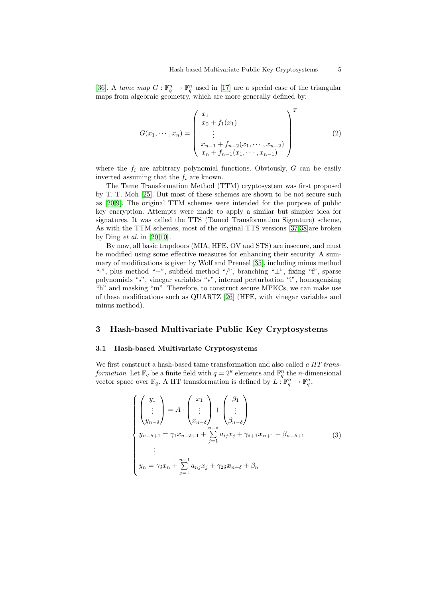[\[36\]](#page-13-7). A tame map  $G: \mathbb{F}_q^n \to \mathbb{F}_q^n$  used in [\[17\]](#page-12-4) are a special case of the triangular maps from algebraic geometry, which are more generally defined by:

$$
G(x_1, \dots, x_n) = \begin{pmatrix} x_1 \\ x_2 + f_1(x_1) \\ \vdots \\ x_{n-1} + f_{n-2}(x_1, \dots, x_{n-2}) \\ x_n + f_{n-1}(x_1, \dots, x_{n-1}) \end{pmatrix}^T
$$
(2)

where the  $f_i$  are arbitrary polynomial functions. Obviously,  $G$  can be easily inverted assuming that the  $f_i$  are known.

The Tame Transformation Method (TTM) cryptosystem was first proposed by T. T. Moh [\[25\]](#page-12-12). But most of these schemes are shown to be not secure such as [\[20](#page-12-13)[,9\]](#page-12-14). The original TTM schemes were intended for the purpose of public key encryption. Attempts were made to apply a similar but simpler idea for signatures. It was called the TTS (Tamed Transformation Signature) scheme, As with the TTM schemes, most of the original TTS versions [\[37](#page-13-8)[,38\]](#page-13-9)are broken by Ding *et al.* in  $[20,10]$  $[20,10]$ .

By now, all basic trapdoors (MIA, HFE, OV and STS) are insecure, and must be modified using some effective measures for enhancing their security. A summary of modifications is given by Wolf and Preneel [\[35\]](#page-13-1), including minus method "-", plus method "+", subfield method "/", branching "⊥", fixing "f", sparse polynomials "s", vinegar variables "v", internal perturbation "i", homogenising "h" and masking "m". Therefore, to construct secure MPKCs, we can make use of these modifications such as QUARTZ [\[26\]](#page-12-16) (HFE, with vinegar variables and minus method).

# 3 Hash-based Multivariate Public Key Cryptosystems

#### 3.1 Hash-based Multivariate Cryptosystems

We first construct a hash-based tame transformation and also called a HT transformation. Let  $\mathbb{F}_q$  be a finite field with  $q = 2^k$  elements and  $\mathbb{F}_q^n$  the *n*-dimensional vector space over  $\mathbb{F}_q$ . A HT transformation is defined by  $L: \mathbb{F}_q^n \to \mathbb{F}_q^n$ ,

$$
\begin{cases}\n\begin{pmatrix}\ny_1 \\
\vdots \\
y_{n-\delta}\n\end{pmatrix} = A \cdot \begin{pmatrix}\nx_1 \\
\vdots \\
x_{n-\delta}\n\end{pmatrix} + \begin{pmatrix}\n\beta_1 \\
\vdots \\
\beta_{n-\delta}\n\end{pmatrix} \\
y_{n-\delta+1} = \gamma_1 x_{n-\delta+1} + \sum_{j=1}^{n-\delta} a_{ij} x_j + \gamma_{\delta+1} x_{n+1} + \beta_{n-\delta+1} \\
\vdots \\
y_n = \gamma_\delta x_n + \sum_{j=1}^{n-1} a_{nj} x_j + \gamma_2 \delta x_{n+\delta} + \beta_n\n\end{cases} (3)
$$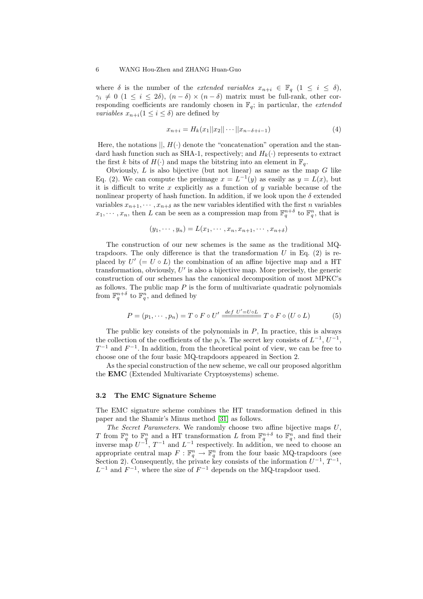where  $\delta$  is the number of the *extended variables*  $x_{n+i} \in \mathbb{F}_q$   $(1 \leq i \leq \delta)$ ,  $\gamma_i \neq 0$  (1  $\leq i \leq 2\delta$ ),  $(n-\delta) \times (n-\delta)$  matrix must be full-rank, other corresponding coefficients are randomly chosen in  $\mathbb{F}_q$ ; in particular, the *extended variables*  $x_{n+i}(1 \leq i \leq \delta)$  are defined by

$$
x_{n+i} = H_k(x_1||x_2||\cdots||x_{n-\delta+i-1})\tag{4}
$$

Here, the notations  $||, H(·)$  denote the "concatenation" operation and the standard hash function such as SHA-1, respectively; and  $H_k(\cdot)$  represents to extract the first k bits of  $H(\cdot)$  and maps the bitstring into an element in  $\mathbb{F}_q$ .

Obviously,  $L$  is also bijective (but not linear) as same as the map  $G$  like Eq. (2). We can compute the preimage  $x = L^{-1}(y)$  as easily as  $y = L(x)$ , but it is difficult to write x explicitly as a function of y variable because of the nonlinear property of hash function. In addition, if we look upon the  $\delta$  extended variables  $x_{n+1}, \dots, x_{n+\delta}$  as the new variables identified with the first *n* variables  $x_1, \dots, x_n$ , then L can be seen as a compression map from  $\mathbb{F}_q^{n+\delta}$  to  $\mathbb{F}_q^n$ , that is

$$
(y_1, \cdots, y_n) = L(x_1, \cdots, x_n, x_{n+1}, \cdots, x_{n+\delta})
$$

The construction of our new schemes is the same as the traditional MQtrapdoors. The only difference is that the transformation  $U$  in Eq. (2) is replaced by  $U'$  (=  $U \circ L$ ) the combination of an affine bijective map and a HT transformation, obviously,  $U'$  is also a bijective map. More precisely, the generic construction of our schemes has the canonical decomposition of most MPKC's as follows. The public map  $P$  is the form of multivariate quadratic polynomials from  $\mathbb{F}_q^{n+\delta}$  to  $\mathbb{F}_q^n$ , and defined by

$$
P = (p_1, \cdots, p_n) = T \circ F \circ U' \xrightarrow{def U' = U \circ L} T \circ F \circ (U \circ L) \tag{5}
$$

The public key consists of the polynomials in  $P$ , In practice, this is always the collection of the coefficients of the  $p_i$ 's. The secret key consists of  $L^{-1}$ ,  $U^{-1}$ ,  $T^{-1}$  and  $F^{-1}$ . In addition, from the theoretical point of view, we can be free to choose one of the four basic MQ-trapdoors appeared in Section 2.

As the special construction of the new scheme, we call our proposed algorithm the EMC (Extended Multivariate Cryptosystems) scheme.

### 3.2 The EMC Signature Scheme

The EMC signature scheme combines the HT transformation defined in this paper and the Shamir's Minus method [\[31\]](#page-13-4) as follows.

The Secret Parameters. We randomly choose two affine bijective maps U, T from  $\mathbb{F}_q^n$  to  $\mathbb{F}_q^n$  and a HT transformation L from  $\mathbb{F}_q^{n+\delta}$  to  $\mathbb{F}_q^n$ , and find their inverse map  $U^{-1}$ ,  $T^{-1}$  and  $L^{-1}$  respectively. In addition, we need to choose an appropriate central map  $F: \mathbb{F}_q^n \to \mathbb{F}_q^n$  from the four basic MQ-trapdoors (see Section 2). Consequently, the private key consists of the information  $U^{-1}$ ,  $T^{-1}$ ,  $L^{-1}$  and  $F^{-1}$ , where the size of  $F^{-1}$  depends on the MQ-trapdoor used.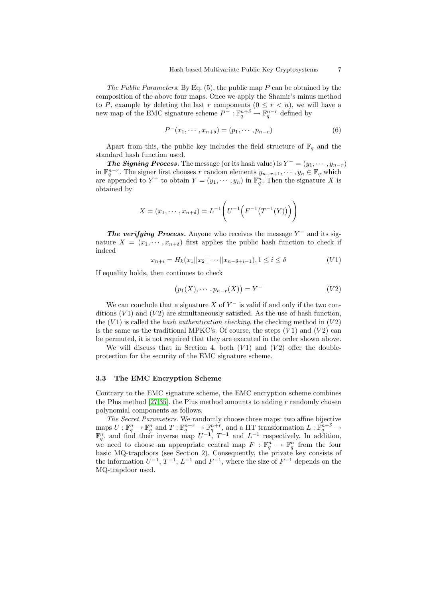The Public Parameters. By Eq.  $(5)$ , the public map P can be obtained by the composition of the above four maps. Once we apply the Shamir's minus method to P, example by deleting the last r components  $(0 \leq r < n)$ , we will have a new map of the EMC signature scheme  $P^- : \mathbb{F}_q^{n+\delta} \to \mathbb{F}_q^{n-r}$  defined by

$$
P^-(x_1, \cdots, x_{n+\delta}) = (p_1, \cdots, p_{n-r})
$$
\n(6)

Apart from this, the public key includes the field structure of  $\mathbb{F}_q$  and the standard hash function used.

**The Signing Process.** The message (or its hash value) is  $Y^{-} = (y_1, \dots, y_{n-r})$ in  $\mathbb{F}_q^{n-r}$ . The signer first chooses r random elements  $y_{n-r+1}, \dots, y_n \in \mathbb{F}_q$  which are appended to Y<sup>-</sup> to obtain  $Y = (y_1, \dots, y_n)$  in  $\mathbb{F}_q^n$ . Then the signature X is obtained by

$$
X = (x_1, \dots, x_{n+\delta}) = L^{-1} \left( U^{-1} \left( F^{-1} \left( T^{-1} (Y) \right) \right) \right)
$$

The verifying Process. Anyone who receives the message  $Y^-$  and its signature  $X = (x_1, \dots, x_{n+\delta})$  first applies the public hash function to check if indeed

$$
x_{n+i} = H_k(x_1||x_2|| \cdots ||x_{n-\delta+i-1}), 1 \le i \le \delta
$$
 (V1)

If equality holds, then continues to check

$$
(p_1(X), \cdots, p_{n-r}(X)) = Y^- \tag{V2}
$$

We can conclude that a signature X of  $Y^-$  is valid if and only if the two conditions  $(V1)$  and  $(V2)$  are simultaneously satisfied. As the use of hash function, the  $(V1)$  is called the *hash authentication checking*. the checking method in  $(V2)$ is the same as the traditional MPKC's. Of course, the steps  $(V1)$  and  $(V2)$  can be permuted, it is not required that they are executed in the order shown above.

We will discuss that in Section 4, both  $(V1)$  and  $(V2)$  offer the doubleprotection for the security of the EMC signature scheme.

## 3.3 The EMC Encryption Scheme

Contrary to the EMC signature scheme, the EMC encryption scheme combines the Plus method [\[27](#page-12-8)[,35\]](#page-13-1). the Plus method amounts to adding  $r$  randomly chosen polynomial components as follows.

The Secret Parameters. We randomly choose three maps: two affine bijective maps  $U : \mathbb{F}_q^n \to \mathbb{F}_q^n$  and  $T : \mathbb{F}_q^{n+r} \to \mathbb{F}_q^{n+r}$ , and a HT transformation  $L : \mathbb{F}_q^{n+\delta} \to \mathbb{F}_q^n$ . and find their inverse map  $U^{-1}$ ,  $T^{-1}$  and  $L^{-1}$  respectively. In addition, we need to choose an appropriate central map  $F : \mathbb{F}_q^n \to \mathbb{F}_q^n$  from the four basic MQ-trapdoors (see Section 2). Consequently, the private key consists of the information  $U^{-1}$ ,  $T^{-1}$ ,  $L^{-1}$  and  $F^{-1}$ , where the size of  $F^{-1}$  depends on the MQ-trapdoor used.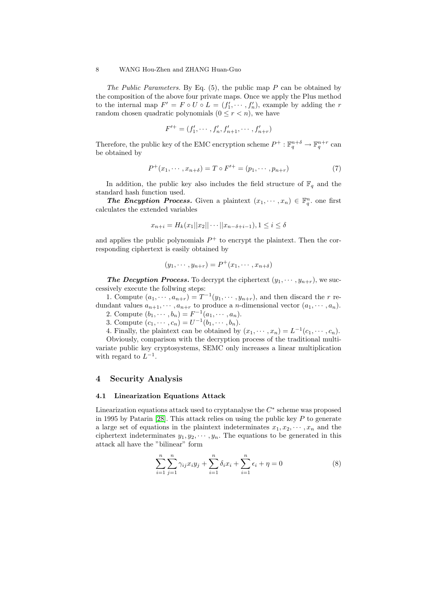The Public Parameters. By Eq.  $(5)$ , the public map P can be obtained by the composition of the above four private maps. Once we apply the Plus method to the internal map  $F' = F \circ U \circ L = (f'_1, \dots, f'_n)$ , example by adding the r random chosen quadratic polynomials  $(0 \leq r < n)$ , we have

$$
F'^{+} = (f'_1, \cdots, f'_n, f'_{n+1}, \cdots, f'_{n+r})
$$

Therefore, the public key of the EMC encryption scheme  $P^+ : \mathbb{F}_q^{n+\delta} \to \mathbb{F}_q^{n+r}$  can be obtained by

$$
P^{+}(x_{1}, \cdots, x_{n+\delta}) = T \circ F'^{+} = (p_{1}, \cdots, p_{n+r})
$$
\n(7)

In addition, the public key also includes the field structure of  $\mathbb{F}_q$  and the standard hash function used.

**The Encyption Process.** Given a plaintext  $(x_1, \dots, x_n) \in \mathbb{F}_q^n$  one first calculates the extended variables

$$
x_{n+i} = H_k(x_1||x_2||\cdots||x_{n-\delta+i-1}), 1 \le i \le \delta
$$

and applies the public polynomials  $P^+$  to encrypt the plaintext. Then the corresponding ciphertext is easily obtained by

$$
(y_1, \cdots, y_{n+r}) = P^+(x_1, \cdots, x_{n+\delta})
$$

**The Decyption Process.** To decrypt the ciphertext  $(y_1, \dots, y_{n+r})$ , we successively execute the follwing steps:

1. Compute  $(a_1, \dots, a_{n+r}) = T^{-1}(y_1, \dots, y_{n+r})$ , and then discard the r redundant values  $a_{n+1}, \dots, a_{n+r}$  to produce a *n*-dimensional vector  $(a_1, \dots, a_n)$ .

2. Compute  $(b_1, \dots, b_n) = F^{-1}(a_1, \dots, a_n)$ .

3. Compute  $(c_1, \dots, c_n) = U^{-1}(b_1, \dots, b_n)$ .

4. Finally, the plaintext can be obtained by  $(x_1, \dots, x_n) = L^{-1}(c_1, \dots, c_n)$ .

Obviously, comparison with the decryption process of the traditional multivariate public key cryptosystems, SEMC only increases a linear multiplication with regard to  $L^{-1}$ .

## 4 Security Analysis

## 4.1 Linearization Equations Attack

Linearization equations attack used to cryptanalyse the  $C^*$  scheme was proposed in 1995 by Patarin [\[28\]](#page-12-0). This attack relies on using the public key  $P$  to generate a large set of equations in the plaintext indeterminates  $x_1, x_2, \dots, x_n$  and the ciphertext indeterminates  $y_1, y_2, \dots, y_n$ . The equations to be generated in this attack all have the "bilinear" form

$$
\sum_{i=1}^{n} \sum_{j=1}^{n} \gamma_{ij} x_i y_j + \sum_{i=1}^{n} \delta_i x_i + \sum_{i=1}^{n} \epsilon_i + \eta = 0
$$
 (8)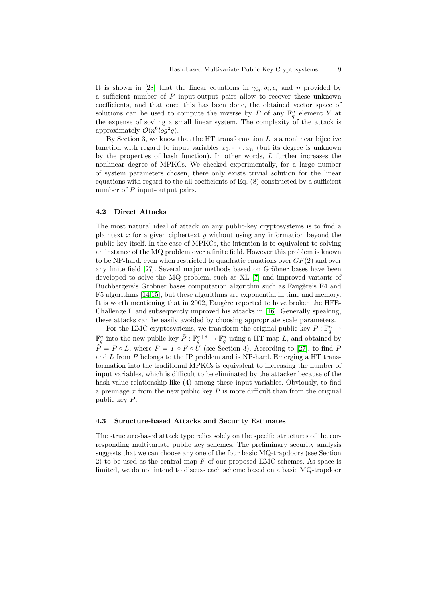It is shown in [\[28\]](#page-12-0) that the linear equations in  $\gamma_{ij}, \delta_i, \epsilon_i$  and  $\eta$  provided by a sufficient number of  $P$  input-output pairs allow to recover these unknown coefficients, and that once this has been done, the obtained vector space of solutions can be used to compute the inverse by P of any  $\mathbb{F}_q^n$  element Y at the expense of sovling a small linear system. The complexity of the attack is approximately  $\mathcal{O}(n^6 \log^2 q)$ .

By Section 3, we know that the HT transformation  $L$  is a nonlinear bijective function with regard to input variables  $x_1, \dots, x_n$  (but its degree is unknown by the properties of hash function). In other words, L further increases the nonlinear degree of MPKCs. We checked experimentally, for a large number of system parameters chosen, there only exists trivial solution for the linear equations with regard to the all coefficients of Eq. (8) constructed by a sufficient number of P input-output pairs.

#### 4.2 Direct Attacks

The most natural ideal of attack on any public-key cryptosystems is to find a plaintext x for a given ciphertext y without using any information beyond the public key itself. In the case of MPKCs, the intention is to equivalent to solving an instance of the MQ problem over a finite field. However this problem is known to be NP-hard, even when restricted to quadratic eauations over  $GF(2)$  and over any finite field [\[27\]](#page-12-8). Several major methods based on Gröbner bases have been developed to solve the MQ problem, such as XL [\[7\]](#page-11-5) and improved variants of Buchbergers's Gröbner bases computation algorithm such as Faugère's F4 and F5 algorithms [\[14](#page-12-17)[,15\]](#page-12-18), but these algorithms are exponential in time and memory. It is worth mentioning that in 2002, Faugère reported to have broken the HFE-Challenge I, and subsequently improved his attacks in [\[16\]](#page-12-10). Generally speaking, these attacks can be easily avoided by choosing appropriate scale parameters.

For the EMC cryptosystems, we transform the original public key  $P: \mathbb{F}_q^n \to$  $\mathbb{F}_q^n$  into the new public key  $\tilde{P}: \mathbb{F}_q^{n+\delta} \to \mathbb{F}_q^n$  using a HT map L, and obtained by  $\tilde{P} = P \circ L$ , where  $P = T \circ F \circ U$  (see Section 3). According to [\[27\]](#page-12-8), to find P and L from  $\ddot{P}$  belongs to the IP problem and is NP-hard. Emerging a HT transformation into the traditional MPKCs is equivalent to increasing the number of input variables, which is difficult to be eliminated by the attacker because of the hash-value relationship like (4) among these input variables. Obviously, to find a preimage  $x$  from the new public key  $P$  is more difficult than from the original public key P.

#### 4.3 Structure-based Attacks and Security Estimates

The structure-based attack type relies solely on the specific structures of the corresponding multivariate public key schemes. The preliminary security analysis suggests that we can choose any one of the four basic MQ-trapdoors (see Section 2) to be used as the central map  $F$  of our proposed EMC schemes. As space is limited, we do not intend to discuss each scheme based on a basic MQ-trapdoor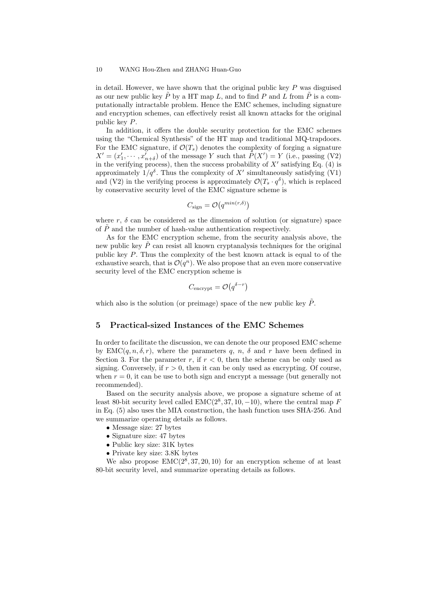in detail. However, we have shown that the original public key  $P$  was disguised as our new public key  $P$  by a HT map  $L$ , and to find  $P$  and  $L$  from  $P$  is a computationally intractable problem. Hence the EMC schemes, including signature and encryption schemes, can effectively resist all known attacks for the original public key P.

In addition, it offers the double security protection for the EMC schemes using the "Chemical Synthesis" of the HT map and traditional MQ-trapdoors. For the EMC signature, if  $\mathcal{O}(T_s)$  denotes the complexity of forging a signature  $X' = (x'_1, \dots, x'_{n+\delta})$  of the message Y such that  $\tilde{P}(X') = Y$  (i.e., passing (V2) in the verifying process), then the success probability of  $X'$  satisfying Eq. (4) is approximately  $1/q^{\delta}$ . Thus the complexity of X' simultaneously satisfying (V1) and (V2) in the verifying process is approximately  $\mathcal{O}(T_s \cdot q^\delta)$ , which is replaced by conservative security level of the EMC signature scheme is

$$
C_{\text{sign}} = \mathcal{O}(q^{min(r,\delta)})
$$

where r,  $\delta$  can be considered as the dimension of solution (or signature) space of  $\tilde{P}$  and the number of hash-value authentication respectively.

As for the EMC encryption scheme, from the security analysis above, the new public key  $\tilde{P}$  can resist all known cryptanalysis techniques for the original public key P. Thus the complexity of the best known attack is equal to of the exhaustive search, that is  $\mathcal{O}(q^n)$ . We also propose that an even more conservative security level of the EMC encryption scheme is

$$
C_{\text{encrypt}} = \mathcal{O}(q^{\delta - r})
$$

which also is the solution (or preimage) space of the new public key  $\tilde{P}$ .

# 5 Practical-sized Instances of the EMC Schemes

In order to facilitate the discussion, we can denote the our proposed EMC scheme by  $EMC(q, n, \delta, r)$ , where the parameters q, n,  $\delta$  and r have been defined in Section 3. For the parameter r, if  $r < 0$ , then the scheme can be only used as signing. Conversely, if  $r > 0$ , then it can be only used as encrypting. Of course, when  $r = 0$ , it can be use to both sign and encrypt a message (but generally not recommended).

Based on the security analysis above, we propose a signature scheme of at least 80-bit security level called  $EMC(2^8, 37, 10, -10)$ , where the central map F in Eq. (5) also uses the MIA construction, the hash function uses SHA-256. And we summarize operating details as follows.

- Message size: 27 bytes
- Signature size: 47 bytes
- Public key size: 31K bytes
- Private key size: 3.8K bytes

We also propose  $EMC(2^8, 37, 20, 10)$  for an encryption scheme of at least 80-bit security level, and summarize operating details as follows.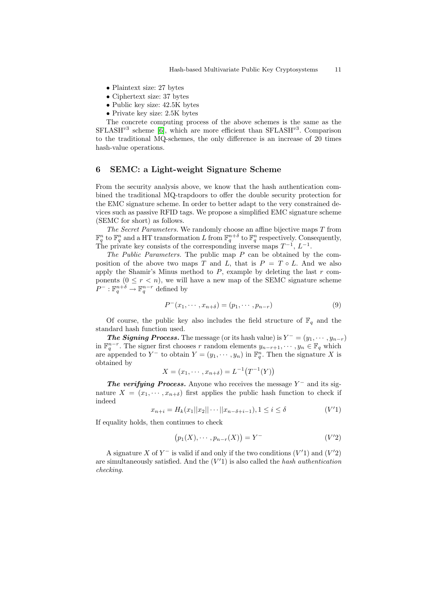- Plaintext size: 27 bytes
- Ciphertext size: 37 bytes
- Public key size: 42.5K bytes
- Private key size: 2.5K bytes

The concrete computing process of the above schemes is the same as the  $SFLASH^{v3}$  scheme [\[6\]](#page-11-6), which are more efficient than  $SFLASH^{v3}$ . Comparison to the traditional MQ-schemes, the only difference is an increase of 20 times hash-value operations.

# 6 SEMC: a Light-weight Signature Scheme

From the security analysis above, we know that the hash authentication combined the traditional MQ-trapdoors to offer the double security protection for the EMC signature scheme. In order to better adapt to the very constrained devices such as passive RFID tags. We propose a simplified EMC signature scheme (SEMC for short) as follows.

The Secret Parameters. We randomly choose an affine bijective maps T from  $\mathbb{F}_q^n$  to  $\mathbb{F}_q^n$  and a HT transformation L from  $\mathbb{F}_q^{n+\delta}$  to  $\mathbb{F}_q^n$  respectively. Consequently, The private key consists of the corresponding inverse maps  $T^{-1}$ ,  $L^{-1}$ .

The Public Parameters. The public map  $P$  can be obtained by the composition of the above two maps T and L, that is  $P = T \circ L$ . And we also apply the Shamir's Minus method to  $P$ , example by deleting the last  $r$  components  $(0 \le r < n)$ , we will have a new map of the SEMC signature scheme  $P^-: \mathbb{F}_q^{n+\delta} \to \mathbb{F}_q^{n-r}$  defined by

$$
P^-(x_1, \dots, x_{n+\delta}) = (p_1, \dots, p_{n-r})
$$
\n(9)

Of course, the public key also includes the field structure of  $\mathbb{F}_q$  and the standard hash function used.

**The Signing Process.** The message (or its hash value) is  $Y^{-} = (y_1, \dots, y_{n-r})$ in  $\mathbb{F}_q^{n-r}$ . The signer first chooses r random elements  $y_{n-r+1}, \dots, y_n \in \mathbb{F}_q$  which are appended to Y<sup>-</sup> to obtain  $Y = (y_1, \dots, y_n)$  in  $\mathbb{F}_q^n$ . Then the signature X is obtained by

$$
X = (x_1, \cdots, x_{n+\delta}) = L^{-1}(T^{-1}(Y))
$$

The verifying Process. Anyone who receives the message  $Y^-$  and its signature  $X = (x_1, \dots, x_{n+\delta})$  first applies the public hash function to check if indeed

$$
x_{n+i} = H_k(x_1||x_2||\cdots||x_{n-\delta+i-1}), 1 \le i \le \delta
$$
 (V'1)

If equality holds, then continues to check

$$
(p_1(X), \cdots, p_{n-r}(X)) = Y^- \tag{V'2}
$$

A signature X of  $Y^-$  is valid if and only if the two conditions  $(V'1)$  and  $(V'2)$ are simultaneously satisfied. And the  $(V'1)$  is also called the hash authentication checking.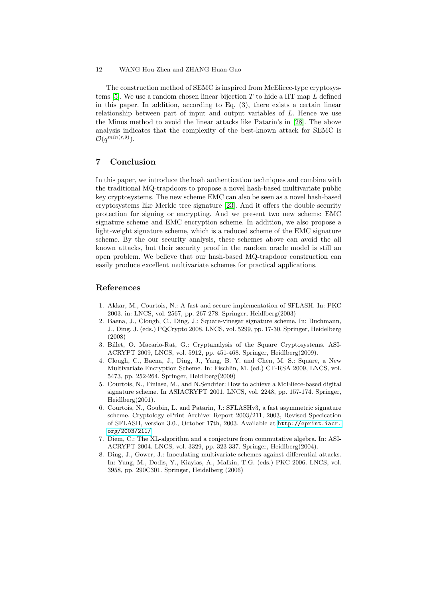The construction method of SEMC is inspired from McEliece-type cryptosys-tems [\[5\]](#page-11-7). We use a random chosen linear bijection  $T$  to hide a HT map  $L$  defined in this paper. In addition, according to Eq. (3), there exists a certain linear relationship between part of input and output variables of L. Hence we use the Minus method to avoid the linear attacks like Patarin's in [\[28\]](#page-12-0). The above analysis indicates that the complexity of the best-known attack for SEMC is  $\mathcal{O}(q^{min(r,\delta)}).$ 

# 7 Conclusion

In this paper, we introduce the hash authentication techniques and combine with the traditional MQ-trapdoors to propose a novel hash-based multivariate public key cryptosystems. The new scheme EMC can also be seen as a novel hash-based cryptosystems like Merkle tree signature [\[23\]](#page-12-19). And it offers the double security protection for signing or encrypting. And we present two new schems: EMC signature scheme and EMC encryption scheme. In addition, we also propose a light-weight signature scheme, which is a reduced scheme of the EMC signature scheme. By the our security analysis, these schemes above can avoid the all known attacks, but their security proof in the random oracle model is still an open problem. We believe that our hash-based MQ-trapdoor construction can easily produce excellent multivariate schemes for practical applications.

# References

- <span id="page-11-0"></span>1. Akkar, M., Courtois, N.: A fast and secure implementation of SFLASH. In: PKC 2003. in: LNCS, vol. 2567, pp. 267-278. Springer, Heidlberg(2003)
- <span id="page-11-2"></span>2. Baena, J., Clough, C., Ding, J.: Square-vinegar signature scheme. In: Buchmann, J., Ding, J. (eds.) PQCrypto 2008. LNCS, vol. 5299, pp. 17-30. Springer, Heidelberg (2008)
- <span id="page-11-1"></span>3. Billet, O. Macario-Rat, G.: Cryptanalysis of the Square Cryptosystems. ASI-ACRYPT 2009, LNCS, vol. 5912, pp. 451-468. Springer, Heidlberg(2009).
- <span id="page-11-3"></span>4. Clough, C., Baena, J., Ding, J., Yang, B. Y. and Chen, M. S.: Square, a New Multivariate Encryption Scheme. In: Fischlin, M. (ed.) CT-RSA 2009, LNCS, vol. 5473, pp. 252-264. Springer, Heidlberg(2009)
- <span id="page-11-7"></span>5. Courtois, N., Finiasz, M., and N.Sendrier: How to achieve a McEliece-based digital signature scheme. In ASIACRYPT 2001. LNCS, vol. 2248, pp. 157-174. Springer, Heidlberg(2001).
- <span id="page-11-6"></span>6. Courtois, N., Goubin, L. and Patarin, J.: SFLASHv3, a fast asymmetric signature scheme. Cryptology ePrint Archive: Report 2003/211, 2003, Revised Specication of SFLASH, version 3.0., October 17th, 2003. Available at [http://eprint.iacr.](http://eprint.iacr.org/2003/211/) [org/2003/211/](http://eprint.iacr.org/2003/211/)
- <span id="page-11-5"></span>7. Diem, C.: The XL-algorithm and a conjecture from commutative algebra. In: ASI-ACRYPT 2004. LNCS, vol. 3329, pp. 323-337. Springer, Heidlberg(2004).
- <span id="page-11-4"></span>8. Ding, J., Gower, J.: Inoculating multivariate schemes against differential attacks. In: Yung, M., Dodis, Y., Kiayias, A., Malkin, T.G. (eds.) PKC 2006. LNCS, vol. 3958, pp. 290C301. Springer, Heidelberg (2006)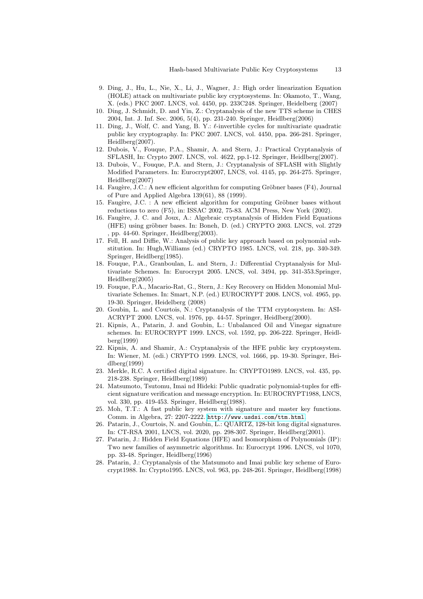- <span id="page-12-14"></span>9. Ding, J., Hu, L., Nie, X., Li, J., Wagner, J.: High order linearization Equation (HOLE) attack on multivariate public key cryptosystems. In: Okamoto, T., Wang, X. (eds.) PKC 2007. LNCS, vol. 4450, pp. 233C248. Springer, Heidelberg (2007)
- <span id="page-12-15"></span>10. Ding, J. Schmidt, D. and Yin, Z.: Cryptanalysis of the new TTS scheme in CHES 2004, Int. J. Inf. Sec. 2006, 5(4), pp. 231-240. Springer, Heidlberg(2006)
- <span id="page-12-7"></span>11. Ding, J., Wolf, C. and Yang, B. Y.:  $\ell$ -invertible cycles for multivariate quadratic public key cryptography. In: PKC 2007. LNCS, vol. 4450, ppa. 266-281. Springer, Heidlberg(2007).
- <span id="page-12-3"></span>12. Dubois, V., Fouque, P.A., Shamir, A. and Stern, J.: Practical Cryptanalysis of SFLASH, In: Crypto 2007. LNCS, vol. 4622, pp.1-12. Springer, Heidlberg(2007).
- <span id="page-12-2"></span>13. Dubois, V., Fouque, P.A. and Stern, J.: Cryptanalysis of SFLASH with Slightly Modified Parameters. In: Eurocrypt2007, LNCS, vol. 4145, pp. 264-275. Springer, Heidlberg(2007)
- <span id="page-12-17"></span>14. Faugère, J.C.: A new efficient algorithm for computing Gröbner bases (F4), Journal of Pure and Applied Algebra 139(61), 88 (1999).
- <span id="page-12-18"></span>15. Faugère, J.C. : A new efficient algorithm for computing Gröbner bases without reductions to zero (F5), in: ISSAC 2002, 75-83. ACM Press, New York (2002).
- <span id="page-12-10"></span>16. Faugère, J. C. and Joux, A.: Algebraic cryptanalysis of Hidden Field Equations (HFE) using gröbner bases. In: Boneh, D. (ed.) CRYPTO 2003. LNCS, vol. 2729 , pp. 44-60. Springer, Heidlberg(2003).
- <span id="page-12-4"></span>17. Fell, H. and Diffie, W.: Analysis of public key approach based on polynomial substitution. In: Hugh,Williams (ed.) CRYPTO 1985. LNCS, vol. 218, pp. 340-349. Springer, Heidlberg(1985).
- <span id="page-12-1"></span>18. Fouque, P.A., Granboulan, L. and Stern, J.: Differential Cryptanalysis for Multivariate Schemes. In: Eurocrypt 2005. LNCS, vol. 3494, pp. 341-353.Springer, Heidlberg(2005)
- <span id="page-12-6"></span>19. Fouque, P.A., Macario-Rat, G., Stern, J.: Key Recovery on Hidden Monomial Multivariate Schemes. In: Smart, N.P. (ed.) EUROCRYPT 2008. LNCS, vol. 4965, pp. 19-30. Springer, Heidelberg (2008)
- <span id="page-12-13"></span>20. Goubin, L. and Courtois, N.: Cryptanalysis of the TTM cryptosystem. In: ASI-ACRYPT 2000. LNCS, vol. 1976, pp. 44-57. Springer, Heidlberg(2000).
- <span id="page-12-11"></span>21. Kipnis, A., Patarin, J. and Goubin, L.: Unbalanced Oil and Vinegar signature schemes. In: EUROCRYPT 1999. LNCS, vol. 1592, pp. 206-222. Springer, Heidlberg(1999)
- <span id="page-12-9"></span>22. Kipnis, A. and Shamir, A.: Cryptanalysis of the HFE public key cryptosystem. In: Wiener, M. (edi.) CRYPTO 1999. LNCS, vol. 1666, pp. 19-30. Springer, Heidlberg(1999)
- <span id="page-12-19"></span>23. Merkle, R.C. A certified digital signature. In: CRYPTO1989. LNCS, vol. 435, pp. 218-238. Springer, Heidlberg(1989)
- <span id="page-12-5"></span>24. Matsumoto, Tsutomu, Imai nd Hideki: Public quadratic polynomial-tuples for efficient signature verification and message encryption. In: EUROCRYPT1988, LNCS, vol. 330, pp. 419-453. Springer, Heidlberg(1988).
- <span id="page-12-12"></span>25. Moh, T.T.: A fast public key system with signature and master key functions. Comm. in Algebra, 27: 2207-2222. <http://www.usdsi.com/ttm.html>.
- <span id="page-12-16"></span>26. Patarin, J., Courtois, N. and Goubin, L.: QUARTZ, 128-bit long digital signatures. In: CT-RSA 2001, LNCS, vol. 2020, pp. 298-307. Springer, Heidlberg(2001).
- <span id="page-12-8"></span>27. Patarin, J.: Hidden Field Equations (HFE) and Isomorphism of Polynomials (IP): Two new families of asymmetric algorithms. In: Eurocrypt 1996. LNCS, vol 1070, pp. 33-48. Springer, Heidlberg(1996)
- <span id="page-12-0"></span>28. Patarin, J.: Cryptanalysis of the Matsumoto and Imai public key scheme of Eurocrypt1988. In: Crypto1995. LNCS, vol. 963, pp. 248-261. Springer, Heidlberg(1998)